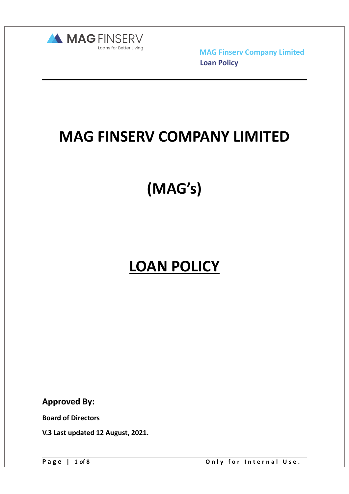

### **MAG FINSERV COMPANY LIMITED**

# **(MAG's)**

## **LOAN POLICY**

**Approved By:** 

**Board of Directors** 

**V.3 Last updated 12 August, 2021.** 

Page | 1 of 8 Only for Internal Use.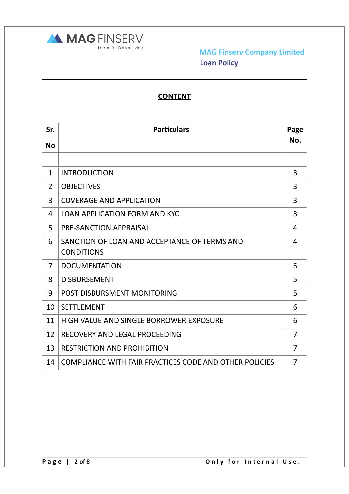

### **CONTENT**

| Sr.            | <b>Particulars</b>                                                | Page           |
|----------------|-------------------------------------------------------------------|----------------|
| <b>No</b>      |                                                                   | No.            |
|                |                                                                   |                |
| $\mathbf{1}$   | <b>INTRODUCTION</b>                                               | 3              |
| $\overline{2}$ | <b>OBJECTIVES</b>                                                 | 3              |
| 3              | <b>COVERAGE AND APPLICATION</b>                                   | 3              |
| 4              | <b>LOAN APPLICATION FORM AND KYC</b>                              | 3              |
| 5              | PRE-SANCTION APPRAISAL                                            | $\overline{4}$ |
| 6              | SANCTION OF LOAN AND ACCEPTANCE OF TERMS AND<br><b>CONDITIONS</b> | 4              |
| $\overline{7}$ | <b>DOCUMENTATION</b>                                              | 5              |
| 8              | <b>DISBURSEMENT</b>                                               | 5              |
| 9              | POST DISBURSMENT MONITORING                                       | 5              |
| 10             | <b>SETTLEMENT</b>                                                 | 6              |
| 11             | HIGH VALUE AND SINGLE BORROWER EXPOSURE                           | 6              |
| 12             | RECOVERY AND LEGAL PROCEEDING                                     | 7              |
| 13             | <b>RESTRICTION AND PROHIBITION</b>                                | $\overline{7}$ |
| 14             | COMPLIANCE WITH FAIR PRACTICES CODE AND OTHER POLICIES            | $\overline{7}$ |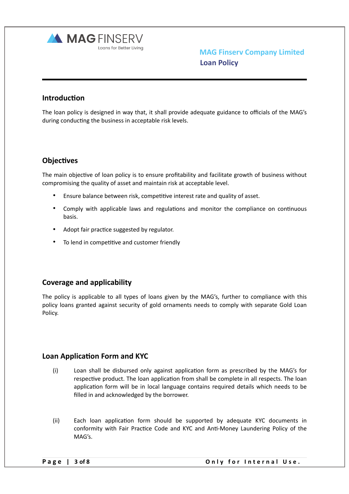

#### **Introduction**

The loan policy is designed in way that, it shall provide adequate guidance to officials of the MAG's during conducting the business in acceptable risk levels.

#### **Objectives**

The main objective of loan policy is to ensure profitability and facilitate growth of business without compromising the quality of asset and maintain risk at acceptable level.

- Ensure balance between risk, competitive interest rate and quality of asset.
- Comply with applicable laws and regulations and monitor the compliance on continuous basis.
- Adopt fair practice suggested by regulator.
- To lend in competitive and customer friendly

#### **Coverage and applicability**

The policy is applicable to all types of loans given by the MAG's, further to compliance with this policy loans granted against security of gold ornaments needs to comply with separate Gold Loan Policy.

#### **Loan Application Form and KYC**

- $(i)$  Loan shall be disbursed only against application form as prescribed by the MAG's for respective product. The loan application from shall be complete in all respects. The loan application form will be in local language contains required details which needs to be filled in and acknowledged by the borrower.
- $(iii)$  Each loan application form should be supported by adequate KYC documents in conformity with Fair Practice Code and KYC and Anti-Money Laundering Policy of the MAG's.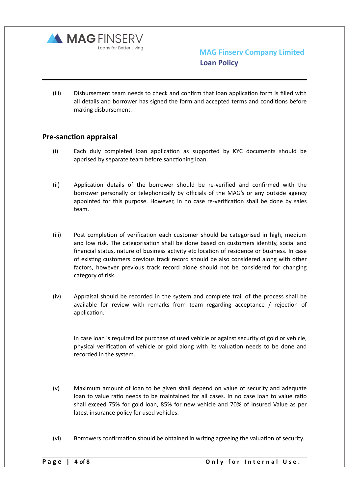

(iii) Disbursement team needs to check and confirm that loan application form is filled with all details and borrower has signed the form and accepted terms and conditions before making disbursement.

#### **Pre-sanction appraisal**

- $(i)$  Each duly completed loan application as supported by KYC documents should be apprised by separate team before sanctioning loan.
- (ii) Application details of the borrower should be re-verified and confirmed with the borrower personally or telephonically by officials of the MAG's or any outside agency appointed for this purpose. However, in no case re-verification shall be done by sales team.
- (iii) Post completion of verification each customer should be categorised in high, medium and low risk. The categorisation shall be done based on customers identity, social and financial status, nature of business activity etc location of residence or business. In case of existing customers previous track record should be also considered along with other factors, however previous track record alone should not be considered for changing category of risk.
- (iv) Appraisal should be recorded in the system and complete trail of the process shall be available for review with remarks from team regarding acceptance  $/$  rejection of application.

In case loan is required for purchase of used vehicle or against security of gold or vehicle, physical verification of vehicle or gold along with its valuation needs to be done and recorded in the system.

- (v) Maximum amount of loan to be given shall depend on value of security and adequate loan to value ratio needs to be maintained for all cases. In no case loan to value ratio shall exceed 75% for gold loan, 85% for new vehicle and 70% of Insured Value as per latest insurance policy for used vehicles.
- (vi) Borrowers confirmation should be obtained in writing agreeing the valuation of security.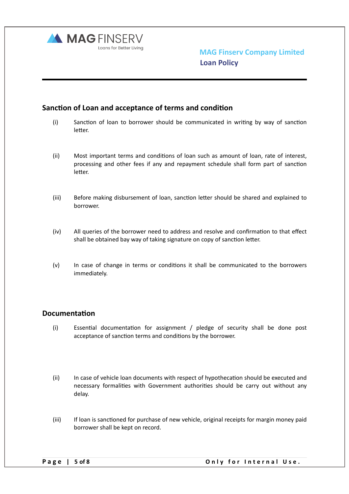

#### **Sanction of Loan and acceptance of terms and condition**

- $(i)$  Sanction of loan to borrower should be communicated in writing by way of sanction letter.
- (ii) Most important terms and conditions of loan such as amount of loan, rate of interest, processing and other fees if any and repayment schedule shall form part of sanction letter.
- (iii) Before making disbursement of loan, sanction letter should be shared and explained to borrower.
- $(iv)$  All queries of the borrower need to address and resolve and confirmation to that effect shall be obtained bay way of taking signature on copy of sanction letter.
- $(v)$  In case of change in terms or conditions it shall be communicated to the borrowers immediately.

#### **Documentation**

- $(i)$  Essential documentation for assignment / pledge of security shall be done post acceptance of sanction terms and conditions by the borrower.
- (ii) In case of vehicle loan documents with respect of hypothecation should be executed and necessary formalities with Government authorities should be carry out without any delay.
- (iii) If loan is sanctioned for purchase of new vehicle, original receipts for margin money paid borrower shall be kept on record.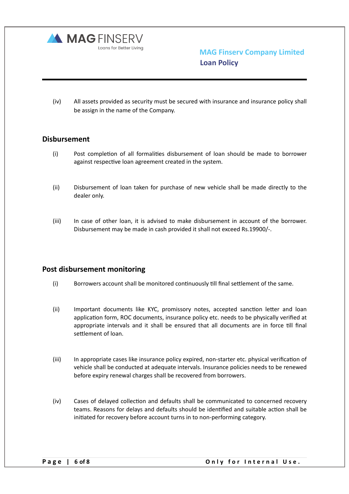

(iv) All assets provided as security must be secured with insurance and insurance policy shall be assign in the name of the Company.

#### **Disbursement**

- $(i)$  Post completion of all formalities disbursement of loan should be made to borrower against respective loan agreement created in the system.
- (ii) Disbursement of loan taken for purchase of new vehicle shall be made directly to the dealer only.
- (iii) In case of other loan, it is advised to make disbursement in account of the borrower. Disbursement may be made in cash provided it shall not exceed Rs.19900/-.

#### **Post disbursement monitoring**

- $(i)$  Borrowers account shall be monitored continuously till final settlement of the same.
- (ii) Important documents like KYC, promissory notes, accepted sanction letter and loan application form, ROC documents, insurance policy etc. needs to be physically verified at appropriate intervals and it shall be ensured that all documents are in force till final settlement of loan.
- (iii) In appropriate cases like insurance policy expired, non-starter etc. physical verification of vehicle shall be conducted at adequate intervals. Insurance policies needs to be renewed before expiry renewal charges shall be recovered from borrowers.
- (iv) Cases of delayed collection and defaults shall be communicated to concerned recovery teams. Reasons for delays and defaults should be identified and suitable action shall be initiated for recovery before account turns in to non-performing category.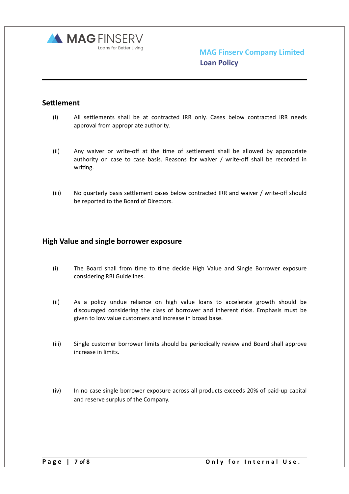

#### **Settlement**

- (i) All settlements shall be at contracted IRR only. Cases below contracted IRR needs approval from appropriate authority.
- $(ii)$  Any waiver or write-off at the time of settlement shall be allowed by appropriate authority on case to case basis. Reasons for waiver / write-off shall be recorded in writing.
- (iii) No quarterly basis settlement cases below contracted IRR and waiver / write-off should be reported to the Board of Directors.

#### **High Value and single borrower exposure**

- (i) The Board shall from time to time decide High Value and Single Borrower exposure considering RBI Guidelines.
- (ii) As a policy undue reliance on high value loans to accelerate growth should be discouraged considering the class of borrower and inherent risks. Emphasis must be given to low value customers and increase in broad base.
- (iii) Single customer borrower limits should be periodically review and Board shall approve increase in limits.
- (iv) In no case single borrower exposure across all products exceeds 20% of paid-up capital and reserve surplus of the Company.